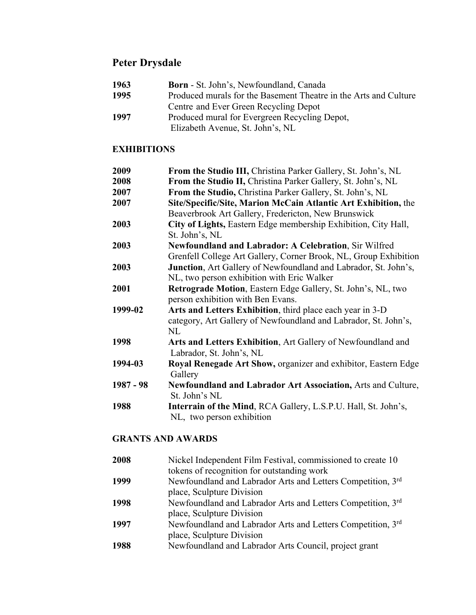# **Peter Drysdale**

| 1963 | <b>Born</b> - St. John's, Newfoundland, Canada                   |
|------|------------------------------------------------------------------|
| 1995 | Produced murals for the Basement Theatre in the Arts and Culture |
|      | Centre and Ever Green Recycling Depot                            |
| 1997 | Produced mural for Evergreen Recycling Depot,                    |
|      | Elizabeth Avenue, St. John's, NL                                 |

## **EXHIBITIONS**

| 2009      | From the Studio III, Christina Parker Gallery, St. John's, NL    |
|-----------|------------------------------------------------------------------|
| 2008      | From the Studio II, Christina Parker Gallery, St. John's, NL     |
| 2007      | From the Studio, Christina Parker Gallery, St. John's, NL        |
| 2007      | Site/Specific/Site, Marion McCain Atlantic Art Exhibition, the   |
|           | Beaverbrook Art Gallery, Fredericton, New Brunswick              |
| 2003      | City of Lights, Eastern Edge membership Exhibition, City Hall,   |
|           | St. John's, NL                                                   |
| 2003      | <b>Newfoundland and Labrador: A Celebration, Sir Wilfred</b>     |
|           | Grenfell College Art Gallery, Corner Brook, NL, Group Exhibition |
| 2003      | Junction, Art Gallery of Newfoundland and Labrador, St. John's,  |
|           | NL, two person exhibition with Eric Walker                       |
| 2001      | Retrograde Motion, Eastern Edge Gallery, St. John's, NL, two     |
|           | person exhibition with Ben Evans.                                |
| 1999-02   | Arts and Letters Exhibition, third place each year in 3-D        |
|           | category, Art Gallery of Newfoundland and Labrador, St. John's,  |
|           | NL                                                               |
| 1998      | Arts and Letters Exhibition, Art Gallery of Newfoundland and     |
|           | Labrador, St. John's, NL                                         |
| 1994-03   | Royal Renegade Art Show, organizer and exhibitor, Eastern Edge   |
|           | Gallery                                                          |
| 1987 - 98 | Newfoundland and Labrador Art Association, Arts and Culture,     |
|           | St. John's NL                                                    |
| 1988      | Interrain of the Mind, RCA Gallery, L.S.P.U. Hall, St. John's,   |
|           | NL, two person exhibition                                        |

## **GRANTS AND AWARDS**

| 2008 | Nickel Independent Film Festival, commissioned to create 10 |
|------|-------------------------------------------------------------|
|      | tokens of recognition for outstanding work                  |
| 1999 | Newfoundland and Labrador Arts and Letters Competition, 3rd |
|      | place, Sculpture Division                                   |
| 1998 | Newfoundland and Labrador Arts and Letters Competition, 3rd |
|      | place, Sculpture Division                                   |
| 1997 | Newfoundland and Labrador Arts and Letters Competition, 3rd |
|      | place, Sculpture Division                                   |
| 1988 | Newfoundland and Labrador Arts Council, project grant       |